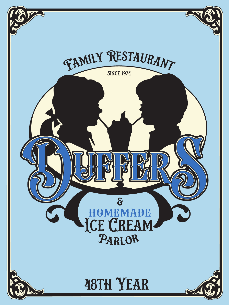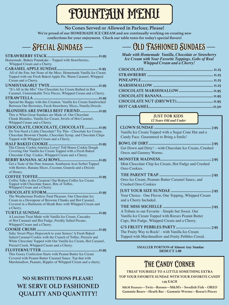# FOUNTAIN MENU

#### **No Cones Served or Allowed in Parlour, Please!**

**We're proud of our HOMEMADE ICE CREAM and are continually working on creating new confections for your enjoyment. Check our table tents for today's special flavors!**

### Special Sundaes

#### **STRAWBERRY STACK.....................................................11.95** Homemade, Buttery Poundcake – Topped with Strawberries,

Whipped Cream and a Cherry.

- **CARAMEL APPLE SUNDAE.......................................... 11.95** All of the Fun, but None of the Mess. Homemade Vanilla Ice Cream Topped with our Fresh Baked Apple Pie, Warm Caramel, Whipped Cream and a Cherry.
- **UNMISTAKABLY TWIX..................................................11.95** "It's All in the Mix" Our Chocolate Ice Cream Bathed in Hot Caramel, Unmistakable Twix Pieces, Whipped Cream and a Cherry.
- **STRAWTELLA ...................................................................11.95** Spread the Happy with this Creation. Vanilla Ice Cream Sandwiched Between Our Brownies, Fresh Strawberry Slices, Nutella Drizzle.
- **BLONDIES ARE SWIRLS BEST FRIEND...................11.95** This is What Great Sundaes are Made of- Our Chocolate Chunk Blondies, Vanilla Ice Cream, Swirls of Hot Caramel, Whipped Cream and a Cherry.
- **CHOCOLATE, CHOCOLATE, CHOCOLATE..............11.95** Do You Need a Little Chocolate? Try This - Chocolate Ice Cream, Chocolate Brownie Chunks, Chocolate Syrup, and Chocolate Chips Topped with Whipped Cream and a Cherry.
- **HALF BAKED COOKIE...................................................11.95** The Classic Cookie America Loves! Toll House Cookie Dough Covering Our Vanilla Ice Cream Topped with a Fresh Baked Chocolate Chip Cookie, Whipped Cream and a Cherry.
- **BERRY BANANA ACAI BOWL.......................................11.95** Get a Taste of the Pure Amazon. Sambazon Acai Sorbet Topped with Berries, Banana Slices, Coconut, Granola and a Drizzle of Honey.
- **COFFEE TOFFEE..............................................................11.95** Coffee Talks in this Creation! Our Robust Coffee Ice Cream Topped with Chocolate Sauce, Bits of Toffee, Whipped Cream and a Cherry.
- **CHOCOLATE STORM.....................................................11.95** The Weatherman Predicts Total Pleasure. Our Chocolate Ice Cream in a Downpour of Brownie Chunks and Hot Caramel, Covered in a Hailstorm of Heath Bars with Whipped Cream and a Cherry.
- **TURTLE SUNDAE............................................................11.95** A Luscious Treat Made with Vanilla Ice Cream, Cascades of Hot Caramel and Hot Fudge, Freshly Salted Pecans, Whipped Cream and a Cherry.
- **COOKIE CRUSH ................................................................11.95** Salty Sweet Plays Hopscotch to your Senses! A Fresh Baked Salted Caramel Cookie with the Crunch of Toffee, Pretzels and White Chocolate Topped with Our Vanilla Ice Cream, Hot Caramel, Pretzel Crush, Whipped Cream and a Cherry.
- **FLUFFERNUTTER..........................................................11.95** This Gooey Confection Starts with Peanut Butter Ice Cream Covered with Peanut Butter Caramel Sauce. Top that with Marshmallow, Peanuts, Ripples of Whipped Cream and a cherry.

### **NO SUBSTITUTIONS PLEASE! WE SERVE OLD FASHIONED QUALITY AND QUANTITY!**

## Old Fashioned Sundaes

*Made with Homemade Vanilla, Chocolate or Strawberry Ice Cream with Your Favorite Toppings, Gobs of Real Whipped Cream and a Cherry!*

#### **JUST FOR KIDS** *12 Years Old and Under*

**CLOWN SUNDAE ..........................................................7.95** Vanilla Ice Cream Topped with a Sugar Cone Hat and a Candy Face. Guaranteed to Bring a Smile!

 **BOWL OF DIRT................................................................7.95** Get Down and Dirty! – with Chocolate Ice Cream, Crushed Oreos and Gummy Worms.

 **MONSTER MADNESS....................................................7.95** Mint Chocolate Chip Ice Cream, Hot Fudge and Crushed Oreo Cookies.

**THE PARENT TRAP .....................................................7.95** Oreo Ice Cream, Peanute Butter Caramel Sauce, and Crushed Oreo Cookies

**JUST YOUR SIZE SUNDAE .........................................7.95** Your Choice- One Flavor, One Topping, Whipped Cream and a Cherry Included.

**THE MISS MICHELLE .................................................7.95** A Tribute to our Favorite - Simple but Sweet. Our Vanilla Ice Cream Topped with Reeses Peanut Butter Cups, Hot Fudge, Whipped Cream and a Cherry.

**G'S FRUITY PEBBLES PARTY....................................7.95** The Fruity Way to Rock! - with Vanilla Ice Cream Topped with Marshmallow and Fruity Pebbles Cereal.

> **SMALLER PORTION of Almost Any Sundae DEDUCT 1.00**

### THE CANDY CORNER

**TREAT YOURSELF TO A LITTLE SOMETHING EXTRA TOP YOUR FAVORITE SUNDAE WITH YOUR FAVORITE CANDY 1.95 EACH**

**M&M Peanuts—Twix—Reeses—M&M's – Swedish Fish – OREO Gummie Bears––Heath Bar – Gummie Worms––Reese's Pieces**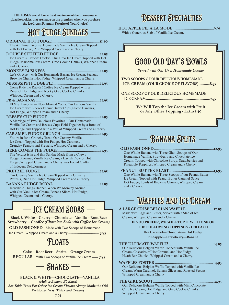**THE LONGS would like to treat you to one of their homemade pizzelle cookies, that are made on the premises, when you purchase the Ice Cream Fountain Favorite of Your Choice!**

### HOT FUDGE SUNDAES

#### **ORIGINAL HOT FUDGE ................................................11.50**

The All Time Favorite. Homemade Vanilla Ice Cream Topped with Hot Fudge, Pure Whipped Cream and a Cherry.

**DOUBLE STUFFED FUDGE..........................................11.95** Ice Cream's Favorite Cookie! Our Oreo Ice Cream Topped with Hot Fudge, Marshmallow Cream, Oreo Cookie Chunks, Whipped Cream and a Cherry.

**MONKEY BUSINESS .......................................................11.95** Let's Go Ape – with Our Homemade Banana Ice Cream, Peanuts, Brownie Chunks, Hot Fudge, Whipped Cream and a Cherry.

**MISSISSIPPI FUDGE PIE ...............................................11.95** Come Ride the Rapids! Coffee Ice Cream Topped with a River of Hot Fudge and Rocky Oreo Cookie Chunks, Whipped Cream and a Cherry.

**PB & BANANAS.................................................................11.95** ELVIS' Favorite — Now Make it Yours. Our Famous Vanilla Ice Cream with Reeses Peanut Butter Cups, Sliced Bananas, Hot Fudge, Whipped Cream and a Cherry.

**REESE'S CUP FUDGE.....................................................11.95**

A Marriage of Two Delicious Favorites – Our Homemade Vanilla Ice Cream and Reeses Cups Held Together by a Bond of Hot Fudge and Topped with a Veil of Whipped Cream and a Cherry.

**CARAMEL FUDGE CRUNCH ......................................11.95** You're in for a Crunchy Treat. Our Creamy Vanilla Ice Cream Topped with Hot Fudge, Hot Caramel, Crunchy Peanuts and Pretzels, Whipped Cream and a Cherry.

**HERE COMES THE FUDGE ..........................................11.95** The Verdict is in and this Sundae Made from a Chewy Fudge Brownie, Vanilla Ice Cream, a Lavish Flow of Hot Fudge, Whipped Cream and a Cherry was Found Guilty of Indecent Deliciousness!

**PRETZEL FUDGE ............................................................11.95** Our Creamy Vanilla Ice Cream Topped with Crunchy Pretzels, Rich Hot Fudge, Whipped Cream and a Cherry.

**BANANA FUDGE ROYAL ...............................................11.95** Incredible Things Happen When We Monkey Around with Our Vanilla Ice Cream, Banana Slices, Hot Fudge, Whipped Cream and a Cherry.

### - ICE CREAM SODAS -

**Black & White—Cherry—Chocolate—Vanilla – Root Beer Strawberry – Choffee** *(Chocolate Soda with Coffee Ice Cream)*

**OLD FASHIONED -** Made with Two Scoops of Homemade

Ice Cream, Whipped Cream and a Cherry **............................... 7.95**

### $-$  Floats  $-$

**Coke—Root Beer—Sprite—Orange Cream REGULAR -** With Two Scoops of Vanilla Ice Cream **...... 7.95**

### $-$  Shakes  $-$

**BLACK & WHITE—CHOCOLATE—VANILLA** *(Malt or Banana .80 Extra) See Table Tents For Other Ice Cream Flavors* **Always Made the Old Fashioned Way! Thick and Creamy**

**7.95**

### Dessert Specialties

**HOT APPLE PIE A LA MODE..........................................9.95**

With a Generous Slab of Vanilla Ice Cream.



**We Will Top the Ice Cream with Fruit or Any Other Topping - Extra 1.50**



**OLD FASHIONED.............................................................12.95** One Whole Banana with Three Giant Scoops of Our Homemade Vanilla, Strawberry and Chocolate Ice Cream, Topped with Chocolate Syrup, Strawberries and Pineapple Toppings, Whipped Cream and a Cherry.

**PEANUT BUTTER BLAST.............................................13.95** One Whole Banana with Three Scoops of our Peanut Butter Ice Cream Topped with Peanut Butter Caramel Sauce, Hot Fudge, Loads of Brownie Chunks, Whipped Cream and a Cherry.

### **WAFFLES AND ICE CREAM**

**A LARGE CRISP BELGIAN WAFFLE............................12.95** Made with Eggs and Butter, Served with a Slab of Ice Cream, Whipped Cream and a Cherry.

#### **IF YOU PREFER, WE WILL TOP IT WITH ONE OF THE FOLLOWING TOPPINGS - 1.50 EACH**

**Hot Caramel—Chocolate— Hot Fudge**

**Pineapple—Strawberry—Banana**

**THE ULTIMATE WAFFLE! .............................................14.95** Our Delicious Belgian Waffle Topped with Vanilla Ice Cream, Cascades of Hot Caramel and Hot Fudge, Heath Bar Chunks, Whipped Cream and a Cherry.

**WAFFLES FOSTER ...........................................................14.95** Our Delicious Belgian Waffle Topped with Vanilla Ice Cream, Warm Caramel, Banana Slices and Roasted Pecans, Whipped Cream and a Cherry.

**THE GIRL SCOUT.............................................................14.95** Our Delicious Belgian Waffle Topped with Mint Chocolate Chip Ice Cream, Hot Fudge and Oreo Cookie Chunks, Whipped Cream and a Cherry.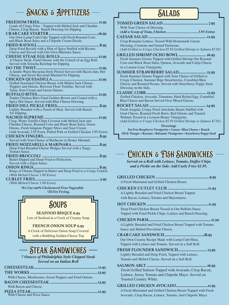### SNACKS & APPETIZERS -

#### **FREEDOM FRIES............................................................ 11.95** Loads of Crispy Fries - Topped with Melted Jack and Cheddar Cheese, Crisp Bacon. Ranch Dressing for Dipping.

- **CRAB CAKE STARTER..................................................16.95** Our Own Lump Crab Cake Topped with Fresh Roasted Corn and Black Bean Salsa and a Chipotle Cream Dizzle.
- **FRIED RAVIOLI................................................................8.95** Deep Fried Ravioli with a Hint of Spice Stuffed with Ricotta Cheese and Served with Our Own Marinara Sauce.
- **CHEESE STEAK EGG ROLLS.......................................12.95** A Cheese Steak, Fried Onions with the Crunch of an Egg Roll. Served with Sriracha Ketchup for Dipping.

**DO THE TWIST...............................................................12.95** A Jumbo Warm Bavarian Style Pretzel Served with Bacon Jam, Hot Cheese, and Sweet Bavarian Mustard for Dipping.

**CHICKEN QUESADILLA...............................................12.95** Grilled Seasoned Chicken Breast with Melted Jack Cheese, Peppers and Onions, Between Flour Tortillas. Served with Salsa, Sour Cream and Green Onions.

- **BUFFALO BITES..............................................................12.95** Tender Chicken Bites Fried Golden-Brown and Coated with a Spicy Hot Sauce. Served with Blue Cheese Dressing.
- **FRIED DILL PICKLE FRIES...........................................8.95** Lightly Breaded with a Touch of Heat. Served with Ranch for Dipping.
- **NACHOS SUPREME.......................................................12.95** Crisp, Warm Tortilla Chips Covered with Melted Jack and Cheddar Cheese, Roasted Corn and Black Bean Salsa, Green Onions, Fresh Jalapeno Pepper Slices and Sour Cream. (Add Avocado 2.95 Extra, Pulled Pork or Grilled Chicken 3.95 Extra)
- **CHICKEN FINGERS.........................................................8.95** Served with Your Choice of Barbecue or Honey Mustard.
- **FRIED MOZZARELLA MARINARA............................8.95** Deep Fried Breaded Cheese Wedges Served with a Tangy Tomato Sauce.
- **FRIED BROCCOLI ..........................................................8.95** Batter Dipped and Deep Fried to Perfection. Served with a Dijon Sauce.
- **ONION RINGS...................................................................8.95** Rings of Onions Dipped in Batter and Deep Fried to a Crispy Crunch. *(With Melted Cheese 1.00 Extra)*
- **CURLEY FRIES................................................................. 5.95** *(With Melted Cheese 1.00 Extra)*

**We Use 100% Cholesterol-Free Vegetable Oil For Frying.**



A Crock of Delicious Onion Soup Covered with a Bubbling Golden Cheese Top

### Steak Sandwiches

*7 Ounces of Philadelphia Style Chipped Steak Served on an Italian Roll*

| With Cheese, Mushrooms, Sweet Peppers and Fried Onions. |  |
|---------------------------------------------------------|--|
|                                                         |  |
| With Bacon and Cheese.                                  |  |
| With Cheese and Pizza Sauce.                            |  |

### **SALADS**

**TOSSED GREEN SALAD..............................................7.95** With Your Choice of Dressing. **(***Add a Scoop of Tuna, Chicken.................................... 3.95 Extra)* **CAESAR SALAD ........................................................... 12.95** Crisp Romaine Lettuce, Tossed With Homemade Caesar Dressing, Croutons and Grated Parmesan. *(Add Grilled or Crispy Chicken \$5.95 Grilled Shrimp or Salmon \$7.95)* **GRILLED SHRIMP OCHO BOWL............................16.95** Fresh Summer Greens Topped with Grilled Shrimp Our Roasted Corn and Black Bean Salsa, Quinoa, Avocado and Catija Cheese in a Lemon-Lime Vinaigrette. **SUMMER STRAWBERRY SALAD............................ 15.95** Fresh Summer Greens Topped with Your Choice of Grilled or Crispy Chicken, Summer Ripe Strawberries, Crumbled Bleu Cheese and Roasted Pecans. Served with Strawberry Poppy Seed Dressing on the Side. **CLASSIC COBB............................................................. 15.95** Grilled Chicken, Avocado, Tomatoes, Hard Boiled Egg, Crumbled Bleu Cheese and Bacon Served Over Mixed Greens. **ROCKET SALAD ..........................................................14.95** Fresh Arugula, Crispy Fried Artichoke Hearts Stuffed with Goat Cheese, Roasted Fresh Beets, Red Onions and Toasted Walnuts Tossed in a Lemon-Honey Vinaigrette. *(Add Grilled or Crispy Chicken \$5.95 Grilled Shrimp or Salmon \$7.95)*

**Dressings**

**Fat-Free Raspberry Vinaigrette • Caesar •Bleu Cheese • Ranch Oil & Vinegar • Russian • Balsamic Vinaigrette • Strawberry Poppy Seed**

### Chicken & Fish Sandwiches

*Served on a Roll with Lettuce, Tomato, Duffer Chips and a Pickle on the Side. Add Curly Fries \$2.95.*

| A Fresh Marinated and Grilled Chicken Breast. |  |
|-----------------------------------------------|--|

- **CHICKEN CUTLET CLUB ......................................11.95** A Lightly Breaded and Fried Chicken Breast Topped with Bacon, Lettuce, Tomato and Mayonnaise.
- **HOT CHICKEN ...............................................................11.95** Deep Fried Chicken Breast Tossed in Our Buffalo Sauce Topped with Fried Pickle Chips, Lettuce and Ranch Dressing.

**CHICKEN PARM............................................................... 11.50** A Lightly Breaded and Fried Chicken Breast Topped with Tomato Sauce and Melted Provolone Cheese.

- **CRAB CAKE SANDWICH........................................18.95** Our Own Creamy Recipe Made with Lump Crab Meat, Topped with Lettuce and Tomato. Served on a Soft Roll.
- **FRESH FLOUNDER SANDWICH............................. 13.95** Lightly Breaded and Deep Fried, Topped with Lettuce, Tomato and Melted Cheese. Served on a Soft Roll.
- **SALMON ABLT.............................................................16.95** Fresh Grilled Salmon Topped with Avocado, Crisp Bacon, Lettuce, Jersey Tomato and Chipotle Mayo. Served on Toasted Country White.

**GRILLED CHICKEN AVOCADO................................11.95** A Fresh Marinated and Grilled Chicken Breast Topped with Fresh Avocado, Crisp Bacon, Lettuce, Tomato, And Chipotle Mayo.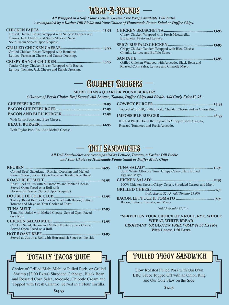| Grilled Chicken Breast Wrapped with Sauteed Peppers and                                                                                                                                                                                 | Crispy Chicken Wrapped with Fresh Mozzarella,                                                                                                                                                   |
|-----------------------------------------------------------------------------------------------------------------------------------------------------------------------------------------------------------------------------------------|-------------------------------------------------------------------------------------------------------------------------------------------------------------------------------------------------|
| Onions, Jack Cheese, and Spicy Mexican Salsa.                                                                                                                                                                                           | Bruschetta, Pesto and Lettuce.                                                                                                                                                                  |
| Sour Cream Served Upon Request.<br>Grilled Chicken Breast Wrapped with Romaine<br>Lettuce, Parmesan Cheese and Caesar Dressing.<br>Tender Crispy Chicken Breast Wrapped with Bacon,<br>Lettuce, Tomato, Jack Cheese and Ranch Dressing. | Crispy Chicken Tenders Wrapped with Bleu Cheese<br>Chunks, Lettuce and Buffalo Sauce.<br>Grilled Chicken Wrapped with Avocado, Black Bean and<br>Roasted Corn Salsa, Lettuce and Chipotle Mayo. |

Wrap-A-Rounds

### Gourmet Burgers

#### **MORE THAN A QUARTER POUND BURGER!**

*6 Ounces of Fresh Choice Beef Served with Lettuce, Tomato, Duffer Chips and Pickle. Add Curly Fries \$2.95.*

|                                          | Topped With BBQ Pulled Pork, Cheddar Cheese and an Onion Ring. |
|------------------------------------------|----------------------------------------------------------------|
|                                          |                                                                |
| With Crisp Bacon and Bleu Cheese.        | It's Just Plants Doing the Impossible! Topped with Arugula,    |
|                                          | Roasted Tomatoes and Fresh Avocado.                            |
| With Taylor Pork Roll And Melted Cheese. |                                                                |

### Deli Sandwiches

*All Deli Sandwiches are Accompanied by Lettuce, Tomato, a Kosher Dill Pickle and Your Choice of Homemade Potato Salad or Duffer Made Chips*

| Corned Beef, Sauerkraut, Russian Dressing and Melted  |  |
|-------------------------------------------------------|--|
| Swiss Cheese, Served Open Faced on Toasted Rye Bread. |  |
|                                                       |  |
| Roast Beef au Jus with Mushrooms and Melted Cheese,   |  |
| Served Open Faced on a Roll with                      |  |
| Horseradish Sauce (Served Upon Request).              |  |
| <b>DAUBLE DEAIZER ALLIB</b>                           |  |

- **DOUBLE DECKER CLUB................................................12.95** Turkey, Roast Beef, or Chicken Salad with Bacon, Lettuce, Tomato and Mayo on Your Choice of Toast.
- **TUNA MELT.......................................................................12.95** Tuna Fish Salad with Melted Cheese, Served Open Faced on a Roll.

**CHICKEN SALAD MELT.................................................13.95** Chicken Salad, Bacon and Melted Monterey Jack Cheese, Served Open Faced on a Roll.

**HOT ROAST BEEF ............................................................13.95** Served au Jus on a Roll with Horseradish Sauce on the side.

### Totally Tacos Dude

Choice of Grilled Mahi Mahi or Pulled Pork, or Grilled Shrimp (\$3.00 Extra) Shredded Cabbage, Black Bean and Roasted Corn Salsa, Avocado, Chipotle Cream and Topped with Fresh Cilantro. Served in a Flour Tortilla.

**TUNA SALAD\*..................................................................... 11.95** Solid White Albacore Tuna, Crispy Celery, Hard Boiled Egg and Mayo **CHICKEN SALAD\*..............................................................12.95** 100% Chicken Breast, Crispy Celery, Shredded Carrots and Mayo **GRILLED CHEESE................................................................7.75** *(Add Bacon \$2.95 Add Tomato \$1.00)* **BACON, LETTUCE & TOMATO .......................................9.95** Bacon, Lettuce, Tomato, and Mayo

*(Add Avocado \$1.75)*

**\*SERVED ON YOUR CHOICE OF A ROLL, RYE, WHOLE WHEAT, WHITE BREAD** *CROISSANT OR GLUTEN FREE WRAP \$1.50 EXTRA* **With Cheese 1.50 Extra**

### Pulled Piggy Sandwich

Slow Roasted Pulled Pork with Our Own BBQ Sauce Topped Off with an Onion Ring and Our Cole Slaw on the Side.

**\$12.95**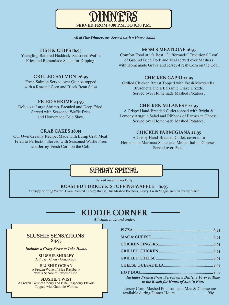#### *All of Our Dinners are Served with a House Salad*

DINNERS

**SERVED FROM 4:00 P.M. TO 9:30 P.M.**

#### **FISH & CHIPS 16.95**

Yuengling Battered Haddock, Seasoned Waffle Fries and Remoulade Sauce for Dipping.

#### **GRILLED SALMON 26.95**

Fresh Salmon Served over Quinoa topped with a Roasted Corn and Black Bean Salsa.

#### **FRIED SHRIMP 24.95**

Delicious Large Shrimp, Breaded and Deep Fried. Served with Seasoned Waffle Fries and Homemade Cole Slaw.

#### **CRAB CAKES 28.95**

Our Own Creamy Recipe, Made with Lump Crab Meat, Fried to Perfection.Served with Seasoned Waffle Fries and Jersey-Fresh Corn on the Cob.

#### **MOM'S MEATLOAF 16.95**

Comfort Food at it's Best!"Duffermade" Traditional Loaf of Ground Beef, Pork and Veal served over Mashers with Homemade Gravy and Jersey-Fresh Corn on the Cob.

#### **CHICKEN CAPRI 22.95**

Grilled Chicken Breast Topped with Fresh Mozzarella, Bruschetta and a Balsamic Glaze Drizzle. Served over Homemade Mashed Potatoes.

#### **CHICKEN MILANESE 22.95**

A Crispy Hand-Breaded Cutlet topped with Bright & Lemony Arugula Salad and Ribbons of Parmesan Cheese. Served over Homemade Mashed Potatoes.

#### **CHICKEN PARMIGIANA 22.95**

A Crispy Hand-Breaded Cutlet, covered in Homemade Marinara Sauce and Melted Italian Cheeses. Served over Pasta.

### SUNDAY SPECIAL

**Served on Sundays Only**

#### **ROASTED TURKEY & STUFFING WAFFLE 16.95**

A Crispy Stuffing Waffle, Oven Roasted Turkey Breast, Our Mashed Potatoes, Gravy, Fresh Veggie and Cranberry Sauce.

### **KIDDIE CORNER**

*All children 12 and under.*

#### **SLUSHIE SENSATIONS! \$4.95**

*Includes a Crazy Straw to Take Home.*

**SLUSHIE SHIRLEY** A Frozen Cherry Concoction.

**SLUSHIE OCEAN** A Frozen Wave of Blue Raspberry with a School of Swedish Fish.

#### **SLUSHIE TWIST**

A Frozen Twist of Cherry and Blue Raspberry Flavors Topped with Gummie Worms.

| <b>Includes French Fries. Served on a Duffer's Flyer to Take</b><br>to the Beach for Hours of Sun 'n Fun! |  |
|-----------------------------------------------------------------------------------------------------------|--|

Jersey Corn, Mashed Potatoes, and Mac & Cheese are available during Dinner Hours...............................99¢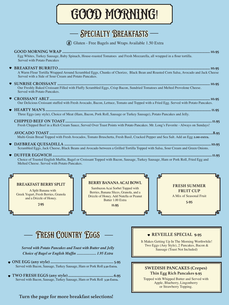GOOD MORNING!

### Specialty Breakfasts

(§) Gluten - Free Bagels and Wraps Available 1.50 Extra

**GOOD MORNING WRAP ...................................................................................................................................................... 10.95** Egg Whites, Turkey Sausage, Baby Spinach, House-roasted Tomatoes and Fresh Mozzarella, all wrapped in a flour tortilla. Served with Potato Pancakes **BREAKFAST BURRITO.......................................................................................................................................................... 10.95** A Warm Flour Tortilla Wrapped Around Scrambled Eggs, Chunks of Chorizo, Black Bean and Roasted Corn Salsa, Avocado and Jack Cheese Served with a Side of Sour Cream and Potato Pancakes. **SUNRISE CROISSANT ........................................................................................................................................................... 10.95** Our Freshly Baked Croissant Filled with Fluffy Scrambled Eggs, Crisp Bacon, Sundried Tomatoes and Melted Provolone Cheese. Served with Potato Pancakes. **CROISSANT ABLT................................................................................................................................................................... 10.95** Our Delicious Croissant stuffed with Fresh Avocado, Bacon, Lettuce, Tomato and Topped with a Fried Egg. Served with Potato Pancakes. **HEARTY MAN'S ........................................................................................................................................................................ 11.95** Three Eggs (any style), Choice of Meat (Ham, Bacon, Pork Roll, Sausage or Turkey Sausage), Potato Pancakes and Jelly. **CHIPPED BEEF ON TOAST.....................................................................................................................................................11.95** Fresh Chipped Beef in a Rich Cream Sauce, Served Over Toast Points with Potato Pancakes. Mr. Long's Favorite - Always on Sundays! **AVOCADO TOAST......................................................................................................................................................................8.95** Multi-Grain Bread Topped with Fresh Avocados, Tomato Bruschetta, Fresh Basil, Cracked Pepper and Sea Salt. Add an Egg **2.00 extra. DAYBREAK QUESADILLA .....................................................................................................................................................10.95** Scrambled Eggs, Jack Cheese, Black Beans and Avocado between a Grilled Tortilla Topped with Salsa, Sour Cream and Green Onions.

**DUFFER EGGWICH .....................** Choice of Toasted English Muffin, Bagel or Croissant Topped with Bacon, Sausage, Turkey Sausage, Ham or Pork Roll, Fried Egg and Melted Cheese. Served with Potato Pancakes.

#### **BREAKFAST BERRY SPLIT**

A Split Banana with Greek Yogurt, Fresh Berries, Granola and a Drizzle of Honey.

**7.95**

#### **BERRY BANANA ACAI BOWL**

Sambazon Acai Sorbet Topped with Berries, Banana Slices, Granola, and a Drizzle of Honey. Add Nutella or Peanut Butter 1.00 Extra

**11.95**

### **FRESH SUMMER FRUIT CUP**

A Mix of Seasonal Fruit

**5.95**

### Fresh Country Eggs

*Served with Potato Pancakes and Toast with Butter and Jelly Choice of Bagel or English Muffin ..................... 1.95 Extra*

- **ONE EGG (any style) ................................................................ 5.95** Served with Bacon, Sausage, Turkey Sausage, Ham or Pork Roll **3.50 Extra.**
- **TWO FRESH EGGS (any style)..............................................6.95** Served with Bacon, Sausage, Turkey Sausage, Ham or Pork Roll **3.50 Extra.**

#### **REVEILLE SPECIAL 9.95**

It Makes Getting Up In The Morning Worthwhile! Two Eggs (Any Style), 2 Pancakes, Bacon & Sausage (Toast Not Included)

#### **SWEDISH PANCAKES (Crepes) Thin Egg Rich Pancakes 9.95**

Topped with Whipped Butter and Served with Apple, Blueberry, Lingonberry or Strawberry Topping.

#### **Turn the page for more breakfast selections!**